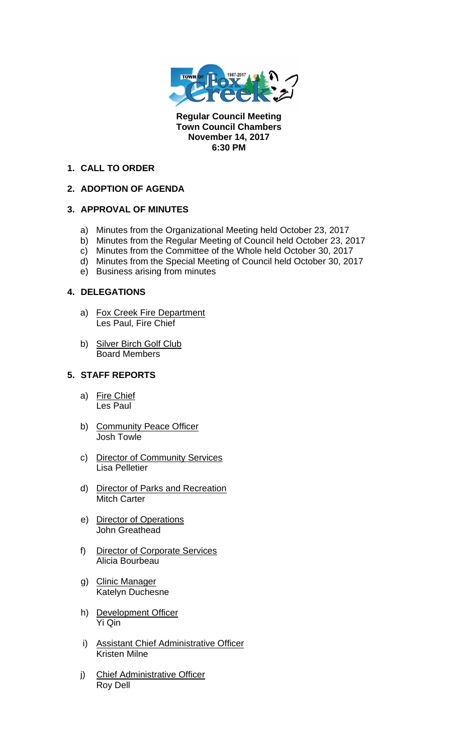

**Regular Council Meeting Town Council Chambers November 14, 2017 6:30 PM** 

## **1. CALL TO ORDER**

# **2. ADOPTION OF AGENDA**

# **3. APPROVAL OF MINUTES**

- a) Minutes from the Organizational Meeting held October 23, 2017
- b) Minutes from the Regular Meeting of Council held October 23, 2017
- c) Minutes from the Committee of the Whole held October 30, 2017
- d) Minutes from the Special Meeting of Council held October 30, 2017
- e) Business arising from minutes

# **4. DELEGATIONS**

- a) Fox Creek Fire Department Les Paul, Fire Chief
- b) Silver Birch Golf Club Board Members

## **5. STAFF REPORTS**

- a) Fire Chief Les Paul
- b) Community Peace Officer Josh Towle
- c) Director of Community Services Lisa Pelletier
- d) Director of Parks and Recreation Mitch Carter
- e) Director of Operations John Greathead
- f) Director of Corporate Services Alicia Bourbeau
- g) Clinic Manager Katelyn Duchesne
- h) Development Officer Yi Qin
- i) Assistant Chief Administrative Officer Kristen Milne
- j) Chief Administrative Officer Roy Dell